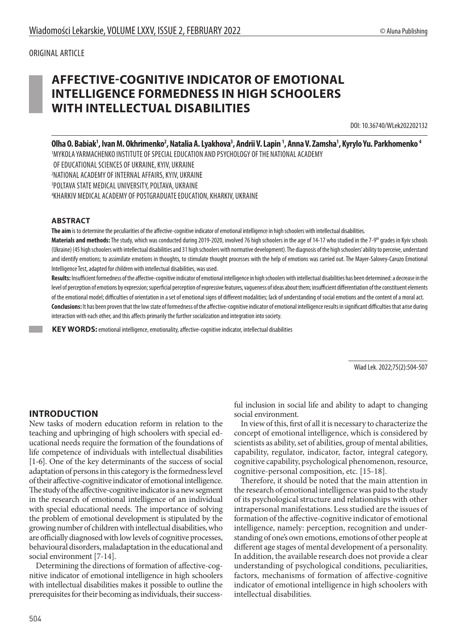# **AFFECTIVE-COGNITIVE INDICATOR OF EMOTIONAL INTELLIGENCE FORMEDNESS IN HIGH SCHOOLERS WITH INTELLECTUAL DISABILITIES**

DOI: 10.36740/WLek202202132

Olha O. Babiak<sup>1</sup>, Ivan M. Okhrimenko<sup>2</sup>, Natalia A. Lyakhova<sup>3</sup>, Andrii V. Lapin <sup>1</sup>, Anna V. Zamsha<sup>1</sup>, Kyrylo Yu. Parkhomenko <sup>4</sup> MYKOLA YARMACHENKO INSTITUTE OF SPECIAL EDUCATION AND PSYCHOLOGY OF THE NATIONAL ACADEMY OF EDUCATIONAL SCIENCES OF UKRAINE, KYIV, UKRAINE NATIONAL ACADEMY OF INTERNAL AFFAIRS, KYIV, UKRAINE POLTAVA STATE MEDICAL UNIVERSITY, POLTAVA, UKRAINE KHARKIV MEDICAL ACADEMY OF POSTGRADUATE EDUCATION, KHARKIV, UKRAINE

#### **ABSTRACT**

**The aim** is to determine the peculiarities of the affective-cognitive indicator of emotional intelligence in high schoolers with intellectual disabilities. Materials and methods: The study, which was conducted during 2019-2020, involved 76 high schoolers in the age of 14-17 who studied in the 7-9<sup>th</sup> grades in Kyiv schools (Ukraine) (45 high schoolers with intellectual disabilities and 31 high schoolers with normative development). The diagnosis of the high schoolers' ability to perceive, understand and identify emotions; to assimilate emotions in thoughts, to stimulate thought processes with the help of emotions was carried out. The Mayer-Salovey-Caruzo Emotional

Intelligence Test, adapted for children with intellectual disabilities, was used.

**Results:** Insufficient formednessof the affective-cognitive indicator of emotional intelligence in high schoolers with intellectual disabilities has been determined: a decrease in the level of perception of emotions by expression; superficial perception of expressive features, vagueness of ideas about them; insufficient differentiation of the constituent elements of the emotional model; difficulties of orientation in a set of emotional signs of different modalities; lack of understanding of social emotions and the content of a moral act. **Conclusions:** It has been proven that the low state of formedness of the affective-cognitive indicator of emotional intelligence results in significant difficulties that arise during interaction with each other, and this affects primarily the further socialization and integration into society.

**KEY WORDS:** emotional intelligence, emotionality, affective-cognitive indicator, intellectual disabilities

Wiad Lek. 2022;75(2):504-507

#### **INTRODUCTION**

New tasks of modern education reform in relation to the teaching and upbringing of high schoolers with special educational needs require the formation of the foundations of life competence of individuals with intellectual disabilities [1-6]. One of the key determinants of the success of social adaptation of persons in this category is the formedness level of their affective-cognitive indicator of emotional intelligence. The study of the affective-cognitive indicator is a new segment in the research of emotional intelligence of an individual with special educational needs. The importance of solving the problem of emotional development is stipulated by the growing number of children with intellectual disabilities, who are officially diagnosed with low levels of cognitive processes, behavioural disorders, maladaptation in the educational and social environment [7-14].

Determining the directions of formation of affective-cognitive indicator of emotional intelligence in high schoolers with intellectual disabilities makes it possible to outline the prerequisites for their becoming as individuals, their successful inclusion in social life and ability to adapt to changing social environment.

In view of this, first of all it is necessary to characterize the concept of emotional intelligence, which is considered by scientists as ability, set of abilities, group of mental abilities, capability, regulator, indicator, factor, integral category, cognitive capability, psychological phenomenon, resource, cognitive-personal composition, etc. [15-18].

Therefore, it should be noted that the main attention in the research of emotional intelligence was paid to the study of its psychological structure and relationships with other intrapersonal manifestations. Less studied are the issues of formation of the affective-cognitive indicator of emotional intelligence, namely: perception, recognition and understanding of one's own emotions, emotions of other people at different age stages of mental development of a personality. In addition, the available research does not provide a clear understanding of psychological conditions, peculiarities, factors, mechanisms of formation of affective-cognitive indicator of emotional intelligence in high schoolers with intellectual disabilities.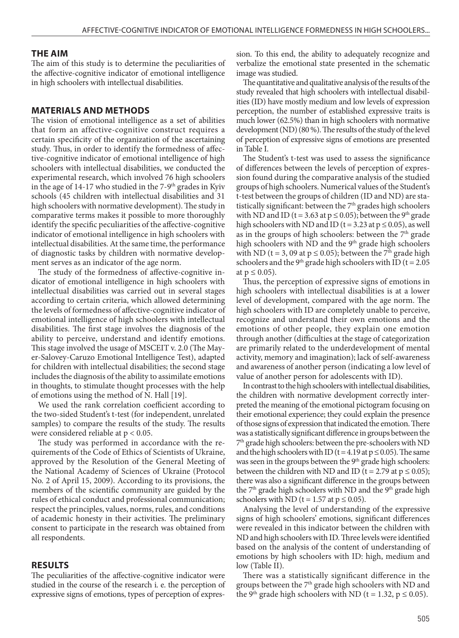#### **THE AIM**

The aim of this study is to determine the peculiarities of the affective-cognitive indicator of emotional intelligence in high schoolers with intellectual disabilities.

#### **MATERIALS AND METHODS**

The vision of emotional intelligence as a set of abilities that form an affective-cognitive construct requires a certain specificity of the organization of the ascertaining study. Thus, in order to identify the formedness of affective-cognitive indicator of emotional intelligence of high schoolers with intellectual disabilities, we conducted the experimental research, which involved 76 high schoolers in the age of  $14-17$  who studied in the  $7-9$ <sup>th</sup> grades in Kyiv schools (45 children with intellectual disabilities and 31 high schoolers with normative development). The study in comparative terms makes it possible to more thoroughly identify the specific peculiarities of the affective-cognitive indicator of emotional intelligence in high schoolers with intellectual disabilities. At the same time, the performance of diagnostic tasks by children with normative development serves as an indicator of the age norm.

The study of the formedness of affective-cognitive indicator of emotional intelligence in high schoolers with intellectual disabilities was carried out in several stages according to certain criteria, which allowed determining the levels of formedness of affective-cognitive indicator of emotional intelligence of high schoolers with intellectual disabilities. The first stage involves the diagnosis of the ability to perceive, understand and identify emotions. This stage involved the usage of MSCEIT v. 2.0 (The Mayer-Salovey-Caruzo Emotional Intelligence Test), adapted for children with intellectual disabilities; the second stage includes the diagnosis of the ability to assimilate emotions in thoughts, to stimulate thought processes with the help of emotions using the method of N. Hall [19].

We used the rank correlation coefficient according to the two-sided Student's t-test (for independent, unrelated samples) to compare the results of the study. The results were considered reliable at p < 0.05.

The study was performed in accordance with the requirements of the Code of Ethics of Scientists of Ukraine, approved by the Resolution of the General Meeting of the National Academy of Sciences of Ukraine (Protocol No. 2 of April 15, 2009). According to its provisions, the members of the scientific community are guided by the rules of ethical conduct and professional communication; respect the principles, values, norms, rules, and conditions of academic honesty in their activities. The preliminary consent to participate in the research was obtained from all respondents.

#### **RESULTS**

The peculiarities of the affective-cognitive indicator were studied in the course of the research i. e. the perception of expressive signs of emotions, types of perception of expression. To this end, the ability to adequately recognize and verbalize the emotional state presented in the schematic image was studied.

The quantitative and qualitative analysis of the results of the study revealed that high schoolers with intellectual disabilities (ID) have mostly medium and low levels of expression perception, the number of established expressive traits is much lower (62.5%) than in high schoolers with normative development (ND) (80 %). The results of the study of the level of perception of expressive signs of emotions are presented in Table I.

The Student's t-test was used to assess the significance of differences between the levels of perception of expression found during the comparative analysis of the studied groups of high schoolers. Numerical values of the Student's t-test between the groups of children (ID and ND) are statistically significant: between the  $7<sup>th</sup>$  grades high schoolers with ND and ID ( $t = 3.63$  at  $p \le 0.05$ ); between the 9<sup>th</sup> grade high schoolers with ND and ID ( $t = 3.23$  at  $p \le 0.05$ ), as well as in the groups of high schoolers: between the  $7<sup>th</sup>$  grade high schoolers with ND and the  $9<sup>th</sup>$  grade high schoolers with ND (t = 3, 09 at  $p \le 0.05$ ); between the 7<sup>th</sup> grade high schoolers and the 9<sup>th</sup> grade high schoolers with ID ( $t = 2.05$ ) at  $p$  ≤ 0.05).

Thus, the perception of expressive signs of emotions in high schoolers with intellectual disabilities is at a lower level of development, compared with the age norm. The high schoolers with ID are completely unable to perceive, recognize and understand their own emotions and the emotions of other people, they explain one emotion through another (difficulties at the stage of categorization are primarily related to the underdevelopment of mental activity, memory and imagination); lack of self-awareness and awareness of another person (indicating a low level of value of another person for adolescents with ID).

In contrast to the high schoolers with intellectual disabilities, the children with normative development correctly interpreted the meaning of the emotional pictogram focusing on their emotional experience; they could explain the presence of those signs of expression that indicated the emotion. There was a statistically significant difference in groups between the  $7^{\rm th}$  grade high schoolers: between the pre-schoolers with ND and the high schoolers with ID (t = 4.19 at  $p \le 0.05$ ). The same was seen in the groups between the 9<sup>th</sup> grade high schoolers: between the children with ND and ID ( $t = 2.79$  at  $p \le 0.05$ ); there was also a significant difference in the groups between the  $7<sup>th</sup>$  grade high schoolers with ND and the  $9<sup>th</sup>$  grade high schoolers with ND (t = 1.57 at  $p \le 0.05$ ).

Analysing the level of understanding of the expressive signs of high schoolers' emotions, significant differences were revealed in this indicator between the children with ND and high schoolers with ID. Three levels were identified based on the analysis of the content of understanding of emotions by high schoolers with ID: high, medium and low (Table II).

There was a statistically significant difference in the groups between the 7<sup>th</sup> grade high schoolers with ND and the 9<sup>th</sup> grade high schoolers with ND (t = 1.32, p  $\leq$  0.05).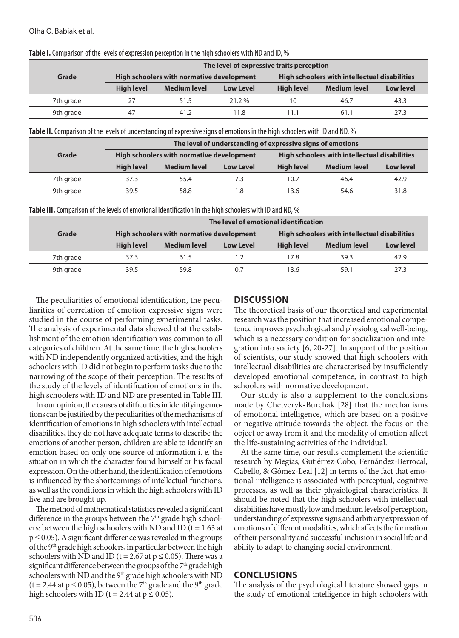|           | The level of expressive traits perception |                     |                  |                                                      |                     |                  |  |
|-----------|-------------------------------------------|---------------------|------------------|------------------------------------------------------|---------------------|------------------|--|
| Grade     | High schoolers with normative development |                     |                  | <b>High schoolers with intellectual disabilities</b> |                     |                  |  |
|           | <b>High level</b>                         | <b>Medium level</b> | <b>Low Level</b> | <b>High level</b>                                    | <b>Medium level</b> | <b>Low level</b> |  |
| 7th grade |                                           | 51.5                | $21.2\%$         | 10                                                   | 46.7                | 43.3             |  |
| 9th grade | 47                                        | 41.2                | 11.8             | 11.1                                                 | 61.1                | 27.3             |  |

**Table І.** Comparison of the levels of expression perception in the high schoolers with ND and ID, %

**Table ІI.** Comparison of the levels of understanding of expressive signs of emotions in the high schoolers with ID and ND, %

|           | The level of understanding of expressive signs of emotions |                     |                  |                                               |                     |                  |  |
|-----------|------------------------------------------------------------|---------------------|------------------|-----------------------------------------------|---------------------|------------------|--|
| Grade     | High schoolers with normative development                  |                     |                  | High schoolers with intellectual disabilities |                     |                  |  |
|           | <b>High level</b>                                          | <b>Medium level</b> | <b>Low Level</b> | <b>High level</b>                             | <b>Medium level</b> | <b>Low level</b> |  |
| 7th grade | 37.3                                                       | 55.4                | 73               | 10.7                                          | 46.4                | 42.9             |  |
| 9th grade | 39.5                                                       | 58.8                | 1.8              | 13.6                                          | 54.6                | 31.8             |  |

**Table IIІ.** Comparison of the levels of emotional identification in the high schoolers with ID and ND, %

|           | The level of emotional identification     |                     |                  |                                               |                     |                  |  |
|-----------|-------------------------------------------|---------------------|------------------|-----------------------------------------------|---------------------|------------------|--|
| Grade     | High schoolers with normative development |                     |                  | High schoolers with intellectual disabilities |                     |                  |  |
|           | <b>High level</b>                         | <b>Medium level</b> | <b>Low Level</b> | <b>High level</b>                             | <b>Medium level</b> | <b>Low level</b> |  |
| 7th grade | 37.3                                      | 61.5                | 1.2              | 17.8                                          | 39.3                | 42.9             |  |
| 9th grade | 395                                       | 59.8                | 07               | 13.6                                          | 59.1                | 27.3             |  |

The peculiarities of emotional identification, the peculiarities of correlation of emotion expressive signs were studied in the course of performing experimental tasks. The analysis of experimental data showed that the establishment of the emotion identification was common to all categories of children. At the same time, the high schoolers with ND independently organized activities, and the high schoolers with ID did not begin to perform tasks due to the narrowing of the scope of their perception. The results of the study of the levels of identification of emotions in the high schoolers with ID and ND are presented in Table III.

In our opinion, the causes of difficulties in identifying emotions can be justified by the peculiarities of the mechanisms of identification of emotions in high schoolers with intellectual disabilities, they do not have adequate terms to describe the emotions of another person, children are able to identify an emotion based on only one source of information i. e. the situation in which the character found himself or his facial expression. On the other hand, the identification of emotions is influenced by the shortcomings of intellectual functions, as well as the conditions in which the high schoolers with ID live and are brought up.

The method of mathematical statistics revealed a significant difference in the groups between the  $7<sup>th</sup>$  grade high schoolers: between the high schoolers with ND and ID ( $t = 1.63$  at  $p \le 0.05$ ). A significant difference was revealed in the groups of the 9<sup>th</sup> grade high schoolers, in particular between the high schoolers with ND and ID ( $t = 2.67$  at  $p \le 0.05$ ). There was a significant difference between the groups of the  $7<sup>th</sup>$  grade high schoolers with ND and the 9<sup>th</sup> grade high schoolers with ND (t = 2.44 at  $p \le 0.05$ ), between the 7<sup>th</sup> grade and the 9<sup>th</sup> grade high schoolers with ID (t = 2.44 at  $p \le 0.05$ ).

## **DISCUSSION**

The theoretical basis of our theoretical and experimental research was the position that increased emotional competence improves psychological and physiological well-being, which is a necessary condition for socialization and integration into society [6, 20-27]. In support of the position of scientists, our study showed that high schoolers with intellectual disabilities are characterised by insufficiently developed emotional competence, in contrast to high schoolers with normative development.

Our study is also a supplement to the conclusions made by Chetveryk-Burchak [28] that the mechanisms of emotional intelligence, which are based on a positive or negative attitude towards the object, the focus on the object or away from it and the modality of emotion affect the life-sustaining activities of the individual.

At the same time, our results complement the scientific research by Megías, Gutiérrez-Cobo, Fernández-Berrocal, Cabello, & Gómez-Leal [12] in terms of the fact that emotional intelligence is associated with perceptual, cognitive processes, as well as their physiological characteristics. It should be noted that the high schoolers with intellectual disabilities have mostly low and medium levels of perception, understanding of expressive signs and arbitrary expression of emotions of different modalities, which affects the formation of their personality and successful inclusion in social life and ability to adapt to changing social environment.

## **CONCLUSIONS**

The analysis of the psychological literature showed gaps in the study of emotional intelligence in high schoolers with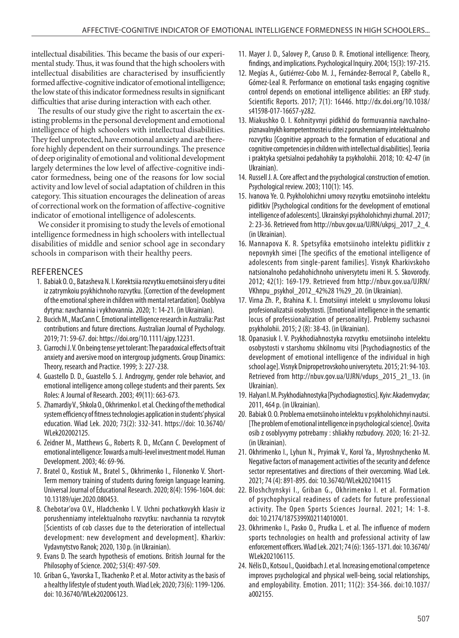intellectual disabilities. This became the basis of our experimental study. Thus, it was found that the high schoolers with intellectual disabilities are characterised by insufficiently formed affective-cognitive indicator of emotional intelligence; the low state of this indicator formedness results in significant difficulties that arise during interaction with each other.

The results of our study give the right to ascertain the existing problems in the personal development and emotional intelligence of high schoolers with intellectual disabilities. They feel unprotected, have emotional anxiety and are therefore highly dependent on their surroundings. The presence of deep originality of emotional and volitional development largely determines the low level of affective-cognitive indicator formedness, being one of the reasons for low social activity and low level of social adaptation of children in this category. This situation encourages the delineation of areas of correctional work on the formation of affective-cognitive indicator of emotional intelligence of adolescents.

We consider it promising to study the levels of emotional intelligence formedness in high schoolers with intellectual disabilities of middle and senior school age in secondary schools in comparison with their healthy peers.

## **REFERENCES**

- 1. Babiak O. O., Batasheva N. I. Korektsiia rozvytku emotsiinoi sfery u ditei iz zatrymkoiu psykhichnoho rozvytku. [Correction of the development of the emotional sphere in children with mental retardation]. Osoblyva dytyna: navchannia i vykhovannia. 2020; 1: 14-21. (in Ukrainian).
- 2. Bucich M., MacCann C. Emotional intelligence research in Australia: Past contributions and future directions. Australian Journal of Psychology. 2019; 71: 59-67. doi: https://doi.org/10.1111/ajpy.12231.
- 3. Ciarrochi J. V. On being tense yet tolerant: The paradoxical effects of trait anxiety and aversive mood on intergroup judgments. Group Dinamics: Theory, research and Practice. 1999; 3: 227-238.
- 4. Guastello D. D., Guastello S. J. Androgyny, gender role behavior, and emotional intelligence among college students and their parents. Sex Roles: A Journal of Research. 2003; 49(11): 663-673.
- 5. Zhamardiy V., Shkola O., Okhrimenko I. et al. Checking of the methodical system efficiency of fitness technologies application in students' physical education. Wiad Lek. 2020; 73(2): 332-341. https://doi: 10.36740/ WLek202002125.
- 6. Zeidner M., Matthews G., Roberts R. D., McCann C. Development of emotional intelligence: Towards a multi-level investment model. Human Development. 2003; 46: 69-96.
- 7. Bratel O., Kostiuk M., Bratel S., Okhrimenko I., Filonenko V. Short-Term memory training of students during foreign language learning. Universal Journal of Educational Research. 2020; 8(4): 1596-1604. doi: 10.13189/ujer.2020.080453.
- 8. Chebotar'ova O.V., Hladchenko I. V. Uchni pochatkovykh klasiv iz porushenniamy intelektualnoho rozvytku: navchannia ta rozvytok [Scientists of cob classes due to the deterioration of intellectual development: new development and development]. Kharkiv: Vydavnytstvo Ranok; 2020, 130 p. (in Ukrainian).
- 9. Evans D. The search hypothesis of emotions. British Journal for the Philosophy of Science. 2002; 53(4): 497-509.
- 10. Griban G., Yavorska T., Tkachenko P. et al. Motor activity as the basis of a healthy lifestyle of student youth. Wiad Lek; 2020; 73(6): 1199-1206. doi: 10.36740/WLek202006123.
- 11. Mayer J. D., Salovey P., Caruso D. R. Emotional intelligence: Theory, findings, and implications. Psychological Inquiry. 2004; 15(3): 197-215.
- 12. Megías A., Gutiérrez-Cobo M. J., Fernández-Berrocal P., Cabello R., Gómez-Leal R. Performance on emotional tasks engaging cognitive control depends on emotional intelligence abilities: an ERP study. Scientific Reports. 2017; 7(1): 16446. http://dx.doi.org/10.1038/ s41598-017-16657-y282.
- 13. Miakushko O. I. Kohnityvnyi pidkhid do formuvannia navchalnopiznavalnykh kompetentnostei u ditei z porushenniamy intelektualnoho rozvytku [Cognitive approach to the formation of educational and cognitive competencies in children with intellectual disabilities]. Teoriia i praktyka spetsialnoi pedahohiky ta psykholohii. 2018; 10: 42-47 (in Ukrainian).
- 14. Russell J. A. Core affect and the psychological construction of emotion. Psychological review. 2003; 110(1): 145.
- 15. Ivanova Ye. O. Psykholohichni umovy rozvytku emotsiinoho intelektu pidlitkiv [Psychological conditions for the development of emotional intelligence of adolescents]. Ukrainskyi psykholohichnyi zhurnal. 2017; 2: 23-36. Retrieved from http://nbuv.gov.ua/UJRN/ukpsj\_2017\_2\_4. (in Ukrainian).
- 16. Mannapova K. R. Spetsyfika emotsiinoho intelektu pidlitkiv z nepovnykh simei [The specifics of the emotional intelligence of adolescents from single-parent families]. Visnyk Kharkivskoho natsionalnoho pedahohichnoho universytetu imeni H. S. Skovorody. 2012; 42(1): 169-179. Retrieved from http://nbuv.gov.ua/UJRN/ VKhnpu\_psykhol\_2012\_42%28 1%29\_20. (in Ukrainian).
- 17. Virna Zh. P., Brahina K. I. Emotsiinyi intelekt u smyslovomu lokusi profesionalizatsii osobystosti. [Emotional intelligence in the semantic locus of professionalization of personality]. Problemy suchasnoi psykholohii. 2015; 2 (8): 38-43. (in Ukrainian).
- 18. Opanasiuk I. V. Psykhodiahnostyka rozvytku emotsiinoho intelektu osobystosti v starshomu shkilnomu vitsi [Psychodiagnostics of the development of emotional intelligence of the individual in high school age]. Visnyk Dnipropetrovskoho universytetu. 2015; 21: 94-103. Retrieved from http://nbuv.gov.ua/UJRN/vdups\_2015\_21\_13. (in Ukrainian).
- 19. Halyan I. M. Psykhodiahnostyka [Psychodiagnostics]. Kyiv: Akademvydav; 2011, 464 p. (in Ukrainian).
- 20. Babiak O. O. Problema emotsiinoho intelektu v psykholohichnyi nautsi. [The problem of emotional intelligence in psychological science]. Osvita osib z osoblyvymy potrebamy : shliakhy rozbudovy. 2020; 16: 21-32. (in Ukrainian).
- 21. Okhrimenko I., Lyhun N., Pryimak V., Korol Ya., Myroshnychenko M. Negative factors of management activities of the security and defence sector representatives and directions of their overcoming. Wiad Lek. 2021; 74 (4): 891-895. doi: 10.36740/WLek202104115
- 22. Bloshchynskyi I., Griban G., Okhrimenko I. et al. Formation of psychophysical readiness of cadets for future professional activity. The Open Sports Sciences Journal. 2021; 14: 1-8. doi: 10.2174/1875399X02114010001.
- 23. Okhrimenko I., Pasko O., Prudka L. et al. The influence of modern sports technologies on health and professional activity of law enforcement officers. Wiad Lek. 2021; 74 (6): 1365-1371. doi: 10.36740/ WLek202106115.
- 24. Nélis D., Kotsou I., Quoidbach J. et al. Increasing emotional competence improves psychological and physical well-being, social relationships, and employability. Emotion. 2011; 11(2): 354-366. doi:10.1037/ a002155.